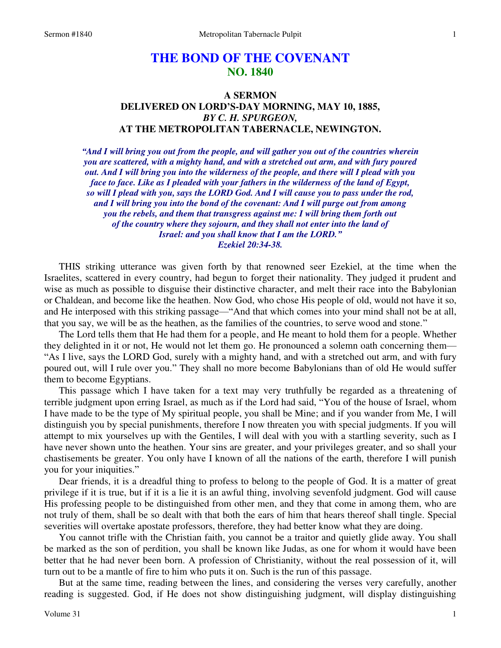# **THE BOND OF THE COVENANT NO. 1840**

# **A SERMON DELIVERED ON LORD'S-DAY MORNING, MAY 10, 1885,**  *BY C. H. SPURGEON,*  **AT THE METROPOLITAN TABERNACLE, NEWINGTON.**

*"And I will bring you out from the people, and will gather you out of the countries wherein you are scattered, with a mighty hand, and with a stretched out arm, and with fury poured out. And I will bring you into the wilderness of the people, and there will I plead with you face to face. Like as I pleaded with your fathers in the wilderness of the land of Egypt, so will I plead with you, says the LORD God. And I will cause you to pass under the rod, and I will bring you into the bond of the covenant: And I will purge out from among you the rebels, and them that transgress against me: I will bring them forth out of the country where they sojourn, and they shall not enter into the land of Israel: and you shall know that I am the LORD." Ezekiel 20:34-38.* 

THIS striking utterance was given forth by that renowned seer Ezekiel, at the time when the Israelites, scattered in every country, had begun to forget their nationality. They judged it prudent and wise as much as possible to disguise their distinctive character, and melt their race into the Babylonian or Chaldean, and become like the heathen. Now God, who chose His people of old, would not have it so, and He interposed with this striking passage—"And that which comes into your mind shall not be at all, that you say, we will be as the heathen, as the families of the countries, to serve wood and stone."

 The Lord tells them that He had them for a people, and He meant to hold them for a people. Whether they delighted in it or not, He would not let them go. He pronounced a solemn oath concerning them— "As I live, says the LORD God, surely with a mighty hand, and with a stretched out arm, and with fury poured out, will I rule over you." They shall no more become Babylonians than of old He would suffer them to become Egyptians.

 This passage which I have taken for a text may very truthfully be regarded as a threatening of terrible judgment upon erring Israel, as much as if the Lord had said, "You of the house of Israel, whom I have made to be the type of My spiritual people, you shall be Mine; and if you wander from Me, I will distinguish you by special punishments, therefore I now threaten you with special judgments. If you will attempt to mix yourselves up with the Gentiles, I will deal with you with a startling severity, such as I have never shown unto the heathen. Your sins are greater, and your privileges greater, and so shall your chastisements be greater. You only have I known of all the nations of the earth, therefore I will punish you for your iniquities."

 Dear friends, it is a dreadful thing to profess to belong to the people of God. It is a matter of great privilege if it is true, but if it is a lie it is an awful thing, involving sevenfold judgment. God will cause His professing people to be distinguished from other men, and they that come in among them, who are not truly of them, shall be so dealt with that both the ears of him that hears thereof shall tingle. Special severities will overtake apostate professors, therefore, they had better know what they are doing.

 You cannot trifle with the Christian faith, you cannot be a traitor and quietly glide away. You shall be marked as the son of perdition, you shall be known like Judas, as one for whom it would have been better that he had never been born. A profession of Christianity, without the real possession of it, will turn out to be a mantle of fire to him who puts it on. Such is the run of this passage.

 But at the same time, reading between the lines, and considering the verses very carefully, another reading is suggested. God, if He does not show distinguishing judgment, will display distinguishing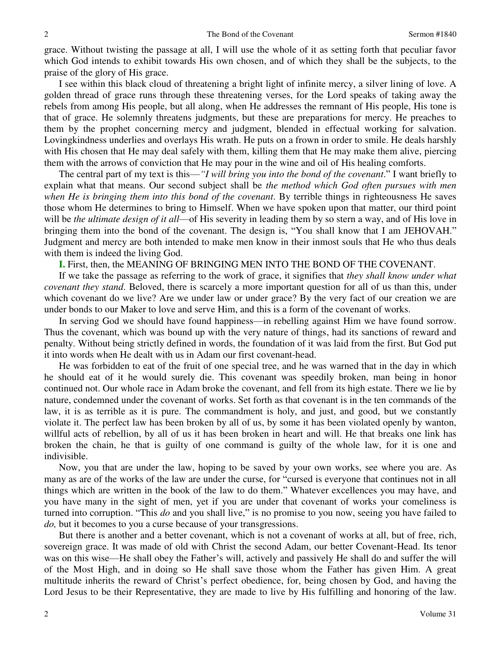grace. Without twisting the passage at all, I will use the whole of it as setting forth that peculiar favor which God intends to exhibit towards His own chosen, and of which they shall be the subjects, to the praise of the glory of His grace.

 I see within this black cloud of threatening a bright light of infinite mercy, a silver lining of love. A golden thread of grace runs through these threatening verses, for the Lord speaks of taking away the rebels from among His people, but all along, when He addresses the remnant of His people, His tone is that of grace. He solemnly threatens judgments, but these are preparations for mercy. He preaches to them by the prophet concerning mercy and judgment, blended in effectual working for salvation. Lovingkindness underlies and overlays His wrath. He puts on a frown in order to smile. He deals harshly with His chosen that He may deal safely with them, killing them that He may make them alive, piercing them with the arrows of conviction that He may pour in the wine and oil of His healing comforts.

 The central part of my text is this—*"I will bring you into the bond of the covenant*." I want briefly to explain what that means. Our second subject shall be *the method which God often pursues with men when He is bringing them into this bond of the covenant*. By terrible things in righteousness He saves those whom He determines to bring to Himself. When we have spoken upon that matter, our third point will be *the ultimate design of it all*—of His severity in leading them by so stern a way, and of His love in bringing them into the bond of the covenant. The design is, "You shall know that I am JEHOVAH." Judgment and mercy are both intended to make men know in their inmost souls that He who thus deals with them is indeed the living God.

**I.** First, then, the MEANING OF BRINGING MEN INTO THE BOND OF THE COVENANT.

 If we take the passage as referring to the work of grace, it signifies that *they shall know under what covenant they stand*. Beloved, there is scarcely a more important question for all of us than this, under which covenant do we live? Are we under law or under grace? By the very fact of our creation we are under bonds to our Maker to love and serve Him, and this is a form of the covenant of works.

 In serving God we should have found happiness—in rebelling against Him we have found sorrow. Thus the covenant, which was bound up with the very nature of things, had its sanctions of reward and penalty. Without being strictly defined in words, the foundation of it was laid from the first. But God put it into words when He dealt with us in Adam our first covenant-head.

 He was forbidden to eat of the fruit of one special tree, and he was warned that in the day in which he should eat of it he would surely die. This covenant was speedily broken, man being in honor continued not. Our whole race in Adam broke the covenant, and fell from its high estate. There we lie by nature, condemned under the covenant of works. Set forth as that covenant is in the ten commands of the law, it is as terrible as it is pure. The commandment is holy, and just, and good, but we constantly violate it. The perfect law has been broken by all of us, by some it has been violated openly by wanton, willful acts of rebellion, by all of us it has been broken in heart and will. He that breaks one link has broken the chain, he that is guilty of one command is guilty of the whole law, for it is one and indivisible.

 Now, you that are under the law, hoping to be saved by your own works, see where you are. As many as are of the works of the law are under the curse, for "cursed is everyone that continues not in all things which are written in the book of the law to do them." Whatever excellences you may have, and you have many in the sight of men, yet if you are under that covenant of works your comeliness is turned into corruption. "This *do* and you shall live," is no promise to you now, seeing you have failed to *do,* but it becomes to you a curse because of your transgressions.

 But there is another and a better covenant, which is not a covenant of works at all, but of free, rich, sovereign grace. It was made of old with Christ the second Adam, our better Covenant-Head. Its tenor was on this wise—He shall obey the Father's will, actively and passively He shall do and suffer the will of the Most High, and in doing so He shall save those whom the Father has given Him. A great multitude inherits the reward of Christ's perfect obedience, for, being chosen by God, and having the Lord Jesus to be their Representative, they are made to live by His fulfilling and honoring of the law.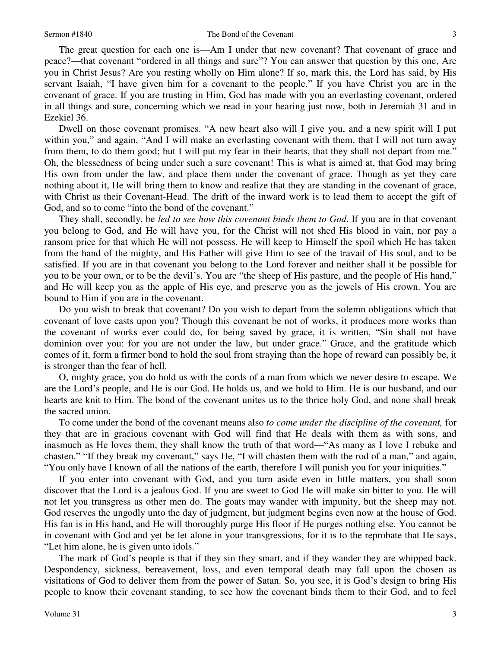The great question for each one is—Am I under that new covenant? That covenant of grace and peace?—that covenant "ordered in all things and sure"? You can answer that question by this one, Are you in Christ Jesus? Are you resting wholly on Him alone? If so, mark this, the Lord has said, by His servant Isaiah, "I have given him for a covenant to the people." If you have Christ you are in the covenant of grace. If you are trusting in Him, God has made with you an everlasting covenant, ordered in all things and sure, concerning which we read in your hearing just now, both in Jeremiah 31 and in Ezekiel 36.

 Dwell on those covenant promises. "A new heart also will I give you, and a new spirit will I put within you," and again, "And I will make an everlasting covenant with them, that I will not turn away from them, to do them good; but I will put my fear in their hearts, that they shall not depart from me." Oh, the blessedness of being under such a sure covenant! This is what is aimed at, that God may bring His own from under the law, and place them under the covenant of grace. Though as yet they care nothing about it, He will bring them to know and realize that they are standing in the covenant of grace, with Christ as their Covenant-Head. The drift of the inward work is to lead them to accept the gift of God, and so to come "into the bond of the covenant."

 They shall, secondly, be *led to see how this covenant binds them to God*. If you are in that covenant you belong to God, and He will have you, for the Christ will not shed His blood in vain, nor pay a ransom price for that which He will not possess. He will keep to Himself the spoil which He has taken from the hand of the mighty, and His Father will give Him to see of the travail of His soul, and to be satisfied. If you are in that covenant you belong to the Lord forever and neither shall it be possible for you to be your own, or to be the devil's. You are "the sheep of His pasture, and the people of His hand," and He will keep you as the apple of His eye, and preserve you as the jewels of His crown. You are bound to Him if you are in the covenant.

 Do you wish to break that covenant? Do you wish to depart from the solemn obligations which that covenant of love casts upon you? Though this covenant be not of works, it produces more works than the covenant of works ever could do, for being saved by grace, it is written, "Sin shall not have dominion over you: for you are not under the law, but under grace." Grace, and the gratitude which comes of it, form a firmer bond to hold the soul from straying than the hope of reward can possibly be, it is stronger than the fear of hell.

 O, mighty grace, you do hold us with the cords of a man from which we never desire to escape. We are the Lord's people, and He is our God. He holds us, and we hold to Him. He is our husband, and our hearts are knit to Him. The bond of the covenant unites us to the thrice holy God, and none shall break the sacred union.

 To come under the bond of the covenant means also *to come under the discipline of the covenant,* for they that are in gracious covenant with God will find that He deals with them as with sons, and inasmuch as He loves them, they shall know the truth of that word—"As many as I love I rebuke and chasten." "If they break my covenant," says He, "I will chasten them with the rod of a man," and again, "You only have I known of all the nations of the earth, therefore I will punish you for your iniquities."

 If you enter into covenant with God, and you turn aside even in little matters, you shall soon discover that the Lord is a jealous God. If you are sweet to God He will make sin bitter to you. He will not let you transgress as other men do. The goats may wander with impunity, but the sheep may not. God reserves the ungodly unto the day of judgment, but judgment begins even now at the house of God. His fan is in His hand, and He will thoroughly purge His floor if He purges nothing else. You cannot be in covenant with God and yet be let alone in your transgressions, for it is to the reprobate that He says, "Let him alone, he is given unto idols."

 The mark of God's people is that if they sin they smart, and if they wander they are whipped back. Despondency, sickness, bereavement, loss, and even temporal death may fall upon the chosen as visitations of God to deliver them from the power of Satan. So, you see, it is God's design to bring His people to know their covenant standing, to see how the covenant binds them to their God, and to feel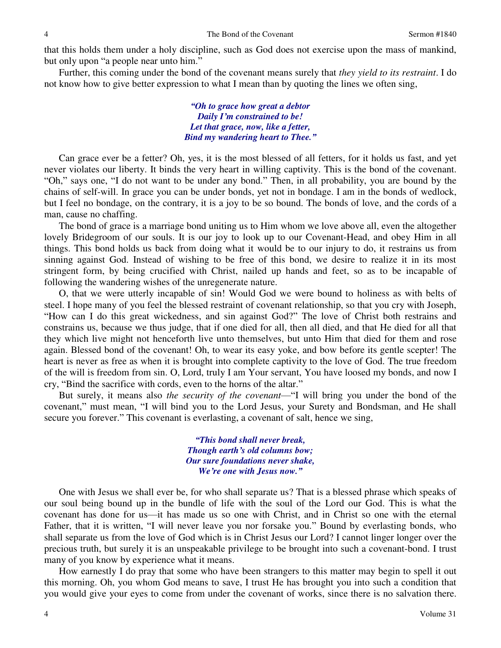that this holds them under a holy discipline, such as God does not exercise upon the mass of mankind, but only upon "a people near unto him."

 Further, this coming under the bond of the covenant means surely that *they yield to its restraint*. I do not know how to give better expression to what I mean than by quoting the lines we often sing,

> *"Oh to grace how great a debtor Daily I'm constrained to be! Let that grace, now, like a fetter, Bind my wandering heart to Thee."*

 Can grace ever be a fetter? Oh, yes, it is the most blessed of all fetters, for it holds us fast, and yet never violates our liberty. It binds the very heart in willing captivity. This is the bond of the covenant. "Oh," says one, "I do not want to be under any bond." Then, in all probability, you are bound by the chains of self-will. In grace you can be under bonds, yet not in bondage. I am in the bonds of wedlock, but I feel no bondage, on the contrary, it is a joy to be so bound. The bonds of love, and the cords of a man, cause no chaffing.

The bond of grace is a marriage bond uniting us to Him whom we love above all, even the altogether lovely Bridegroom of our souls. It is our joy to look up to our Covenant-Head, and obey Him in all things. This bond holds us back from doing what it would be to our injury to do, it restrains us from sinning against God. Instead of wishing to be free of this bond, we desire to realize it in its most stringent form, by being crucified with Christ, nailed up hands and feet, so as to be incapable of following the wandering wishes of the unregenerate nature.

 O, that we were utterly incapable of sin! Would God we were bound to holiness as with belts of steel. I hope many of you feel the blessed restraint of covenant relationship, so that you cry with Joseph, "How can I do this great wickedness, and sin against God?" The love of Christ both restrains and constrains us, because we thus judge, that if one died for all, then all died, and that He died for all that they which live might not henceforth live unto themselves, but unto Him that died for them and rose again. Blessed bond of the covenant! Oh, to wear its easy yoke, and bow before its gentle scepter! The heart is never as free as when it is brought into complete captivity to the love of God. The true freedom of the will is freedom from sin. O, Lord, truly I am Your servant, You have loosed my bonds, and now I cry, "Bind the sacrifice with cords, even to the horns of the altar."

 But surely, it means also *the security of the covenant*—"I will bring you under the bond of the covenant," must mean, "I will bind you to the Lord Jesus, your Surety and Bondsman, and He shall secure you forever." This covenant is everlasting, a covenant of salt, hence we sing,

> *"This bond shall never break, Though earth's old columns bow; Our sure foundations never shake, We're one with Jesus now."*

One with Jesus we shall ever be, for who shall separate us? That is a blessed phrase which speaks of our soul being bound up in the bundle of life with the soul of the Lord our God. This is what the covenant has done for us—it has made us so one with Christ, and in Christ so one with the eternal Father, that it is written, "I will never leave you nor forsake you." Bound by everlasting bonds, who shall separate us from the love of God which is in Christ Jesus our Lord? I cannot linger longer over the precious truth, but surely it is an unspeakable privilege to be brought into such a covenant-bond. I trust many of you know by experience what it means.

 How earnestly I do pray that some who have been strangers to this matter may begin to spell it out this morning. Oh, you whom God means to save, I trust He has brought you into such a condition that you would give your eyes to come from under the covenant of works, since there is no salvation there.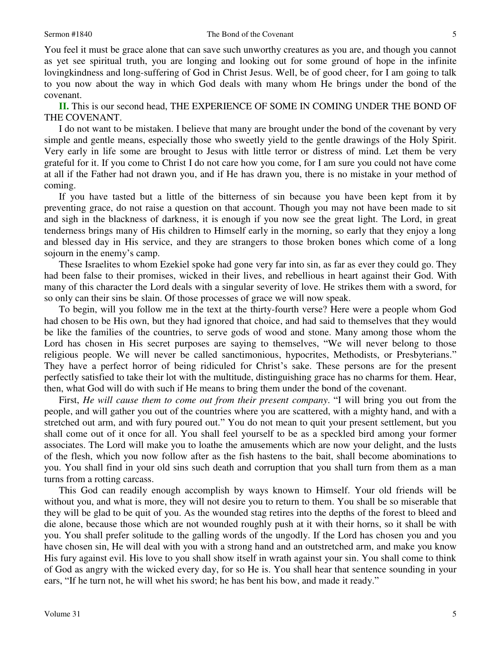You feel it must be grace alone that can save such unworthy creatures as you are, and though you cannot as yet see spiritual truth, you are longing and looking out for some ground of hope in the infinite lovingkindness and long-suffering of God in Christ Jesus. Well, be of good cheer, for I am going to talk to you now about the way in which God deals with many whom He brings under the bond of the covenant.

**II.** This is our second head, THE EXPERIENCE OF SOME IN COMING UNDER THE BOND OF THE COVENANT.

 I do not want to be mistaken. I believe that many are brought under the bond of the covenant by very simple and gentle means, especially those who sweetly yield to the gentle drawings of the Holy Spirit. Very early in life some are brought to Jesus with little terror or distress of mind. Let them be very grateful for it. If you come to Christ I do not care how you come, for I am sure you could not have come at all if the Father had not drawn you, and if He has drawn you, there is no mistake in your method of coming.

 If you have tasted but a little of the bitterness of sin because you have been kept from it by preventing grace, do not raise a question on that account. Though you may not have been made to sit and sigh in the blackness of darkness, it is enough if you now see the great light. The Lord, in great tenderness brings many of His children to Himself early in the morning, so early that they enjoy a long and blessed day in His service, and they are strangers to those broken bones which come of a long sojourn in the enemy's camp.

 These Israelites to whom Ezekiel spoke had gone very far into sin, as far as ever they could go. They had been false to their promises, wicked in their lives, and rebellious in heart against their God. With many of this character the Lord deals with a singular severity of love. He strikes them with a sword, for so only can their sins be slain. Of those processes of grace we will now speak.

 To begin, will you follow me in the text at the thirty-fourth verse? Here were a people whom God had chosen to be His own, but they had ignored that choice, and had said to themselves that they would be like the families of the countries, to serve gods of wood and stone. Many among those whom the Lord has chosen in His secret purposes are saying to themselves, "We will never belong to those religious people. We will never be called sanctimonious, hypocrites, Methodists, or Presbyterians." They have a perfect horror of being ridiculed for Christ's sake. These persons are for the present perfectly satisfied to take their lot with the multitude, distinguishing grace has no charms for them. Hear, then, what God will do with such if He means to bring them under the bond of the covenant.

 First, *He will cause them to come out from their present company*. "I will bring you out from the people, and will gather you out of the countries where you are scattered, with a mighty hand, and with a stretched out arm, and with fury poured out." You do not mean to quit your present settlement, but you shall come out of it once for all. You shall feel yourself to be as a speckled bird among your former associates. The Lord will make you to loathe the amusements which are now your delight, and the lusts of the flesh, which you now follow after as the fish hastens to the bait, shall become abominations to you. You shall find in your old sins such death and corruption that you shall turn from them as a man turns from a rotting carcass.

 This God can readily enough accomplish by ways known to Himself. Your old friends will be without you, and what is more, they will not desire you to return to them. You shall be so miserable that they will be glad to be quit of you. As the wounded stag retires into the depths of the forest to bleed and die alone, because those which are not wounded roughly push at it with their horns, so it shall be with you. You shall prefer solitude to the galling words of the ungodly. If the Lord has chosen you and you have chosen sin, He will deal with you with a strong hand and an outstretched arm, and make you know His fury against evil. His love to you shall show itself in wrath against your sin. You shall come to think of God as angry with the wicked every day, for so He is. You shall hear that sentence sounding in your ears, "If he turn not, he will whet his sword; he has bent his bow, and made it ready."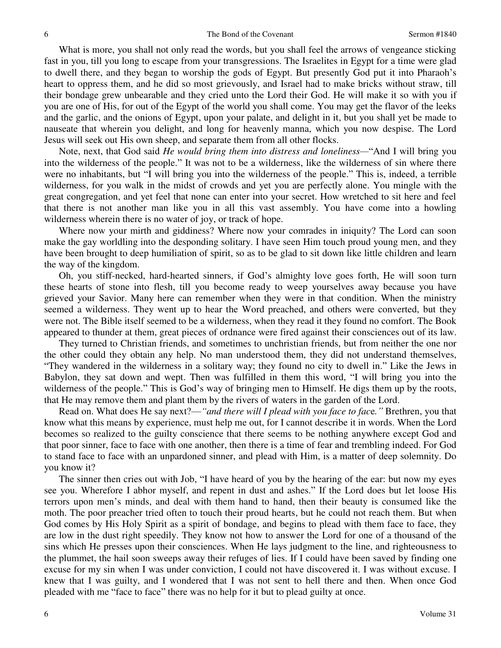What is more, you shall not only read the words, but you shall feel the arrows of vengeance sticking fast in you, till you long to escape from your transgressions. The Israelites in Egypt for a time were glad to dwell there, and they began to worship the gods of Egypt. But presently God put it into Pharaoh's heart to oppress them, and he did so most grievously, and Israel had to make bricks without straw, till their bondage grew unbearable and they cried unto the Lord their God. He will make it so with you if you are one of His, for out of the Egypt of the world you shall come. You may get the flavor of the leeks and the garlic, and the onions of Egypt, upon your palate, and delight in it, but you shall yet be made to nauseate that wherein you delight, and long for heavenly manna, which you now despise. The Lord Jesus will seek out His own sheep, and separate them from all other flocks.

 Note, next, that God said *He would bring them into distress and loneliness—*"And I will bring you into the wilderness of the people." It was not to be a wilderness, like the wilderness of sin where there were no inhabitants, but "I will bring you into the wilderness of the people." This is, indeed, a terrible wilderness, for you walk in the midst of crowds and yet you are perfectly alone. You mingle with the great congregation, and yet feel that none can enter into your secret. How wretched to sit here and feel that there is not another man like you in all this vast assembly. You have come into a howling wilderness wherein there is no water of joy, or track of hope.

 Where now your mirth and giddiness? Where now your comrades in iniquity? The Lord can soon make the gay worldling into the desponding solitary. I have seen Him touch proud young men, and they have been brought to deep humiliation of spirit, so as to be glad to sit down like little children and learn the way of the kingdom.

 Oh, you stiff-necked, hard-hearted sinners, if God's almighty love goes forth, He will soon turn these hearts of stone into flesh, till you become ready to weep yourselves away because you have grieved your Savior. Many here can remember when they were in that condition. When the ministry seemed a wilderness. They went up to hear the Word preached, and others were converted, but they were not. The Bible itself seemed to be a wilderness, when they read it they found no comfort. The Book appeared to thunder at them, great pieces of ordnance were fired against their consciences out of its law.

 They turned to Christian friends, and sometimes to unchristian friends, but from neither the one nor the other could they obtain any help. No man understood them, they did not understand themselves, "They wandered in the wilderness in a solitary way; they found no city to dwell in." Like the Jews in Babylon, they sat down and wept. Then was fulfilled in them this word, "I will bring you into the wilderness of the people." This is God's way of bringing men to Himself. He digs them up by the roots, that He may remove them and plant them by the rivers of waters in the garden of the Lord.

 Read on. What does He say next?—*"and there will I plead with you face to fac*e*."* Brethren, you that know what this means by experience, must help me out, for I cannot describe it in words. When the Lord becomes so realized to the guilty conscience that there seems to be nothing anywhere except God and that poor sinner, face to face with one another, then there is a time of fear and trembling indeed. For God to stand face to face with an unpardoned sinner, and plead with Him, is a matter of deep solemnity. Do you know it?

 The sinner then cries out with Job, "I have heard of you by the hearing of the ear: but now my eyes see you. Wherefore I abhor myself, and repent in dust and ashes." If the Lord does but let loose His terrors upon men's minds, and deal with them hand to hand, then their beauty is consumed like the moth. The poor preacher tried often to touch their proud hearts, but he could not reach them. But when God comes by His Holy Spirit as a spirit of bondage, and begins to plead with them face to face, they are low in the dust right speedily. They know not how to answer the Lord for one of a thousand of the sins which He presses upon their consciences. When He lays judgment to the line, and righteousness to the plummet, the hail soon sweeps away their refuges of lies. If I could have been saved by finding one excuse for my sin when I was under conviction, I could not have discovered it. I was without excuse. I knew that I was guilty, and I wondered that I was not sent to hell there and then. When once God pleaded with me "face to face" there was no help for it but to plead guilty at once.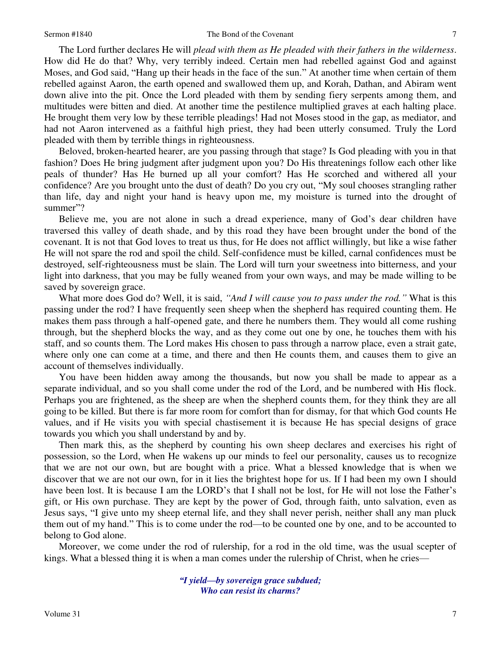### Sermon #1840 **The Bond of the Covenant** 7

 The Lord further declares He will *plead with them as He pleaded with their fathers in the wilderness*. How did He do that? Why, very terribly indeed. Certain men had rebelled against God and against Moses, and God said, "Hang up their heads in the face of the sun." At another time when certain of them rebelled against Aaron, the earth opened and swallowed them up, and Korah, Dathan, and Abiram went down alive into the pit. Once the Lord pleaded with them by sending fiery serpents among them, and multitudes were bitten and died. At another time the pestilence multiplied graves at each halting place. He brought them very low by these terrible pleadings! Had not Moses stood in the gap, as mediator, and had not Aaron intervened as a faithful high priest, they had been utterly consumed. Truly the Lord pleaded with them by terrible things in righteousness.

 Beloved, broken-hearted hearer, are you passing through that stage? Is God pleading with you in that fashion? Does He bring judgment after judgment upon you? Do His threatenings follow each other like peals of thunder? Has He burned up all your comfort? Has He scorched and withered all your confidence? Are you brought unto the dust of death? Do you cry out, "My soul chooses strangling rather than life, day and night your hand is heavy upon me, my moisture is turned into the drought of summer"?

 Believe me, you are not alone in such a dread experience, many of God's dear children have traversed this valley of death shade, and by this road they have been brought under the bond of the covenant. It is not that God loves to treat us thus, for He does not afflict willingly, but like a wise father He will not spare the rod and spoil the child. Self-confidence must be killed, carnal confidences must be destroyed, self-righteousness must be slain. The Lord will turn your sweetness into bitterness, and your light into darkness, that you may be fully weaned from your own ways, and may be made willing to be saved by sovereign grace.

 What more does God do? Well, it is said, *"And I will cause you to pass under the rod."* What is this passing under the rod? I have frequently seen sheep when the shepherd has required counting them. He makes them pass through a half-opened gate, and there he numbers them. They would all come rushing through, but the shepherd blocks the way, and as they come out one by one, he touches them with his staff, and so counts them. The Lord makes His chosen to pass through a narrow place, even a strait gate, where only one can come at a time, and there and then He counts them, and causes them to give an account of themselves individually.

 You have been hidden away among the thousands, but now you shall be made to appear as a separate individual, and so you shall come under the rod of the Lord, and be numbered with His flock. Perhaps you are frightened, as the sheep are when the shepherd counts them, for they think they are all going to be killed. But there is far more room for comfort than for dismay, for that which God counts He values, and if He visits you with special chastisement it is because He has special designs of grace towards you which you shall understand by and by.

 Then mark this, as the shepherd by counting his own sheep declares and exercises his right of possession, so the Lord, when He wakens up our minds to feel our personality, causes us to recognize that we are not our own, but are bought with a price. What a blessed knowledge that is when we discover that we are not our own, for in it lies the brightest hope for us. If I had been my own I should have been lost. It is because I am the LORD's that I shall not be lost, for He will not lose the Father's gift, or His own purchase. They are kept by the power of God, through faith, unto salvation, even as Jesus says, "I give unto my sheep eternal life, and they shall never perish, neither shall any man pluck them out of my hand." This is to come under the rod—to be counted one by one, and to be accounted to belong to God alone.

 Moreover, we come under the rod of rulership, for a rod in the old time, was the usual scepter of kings. What a blessed thing it is when a man comes under the rulership of Christ, when he cries—

> *"I yield—by sovereign grace subdued; Who can resist its charms?*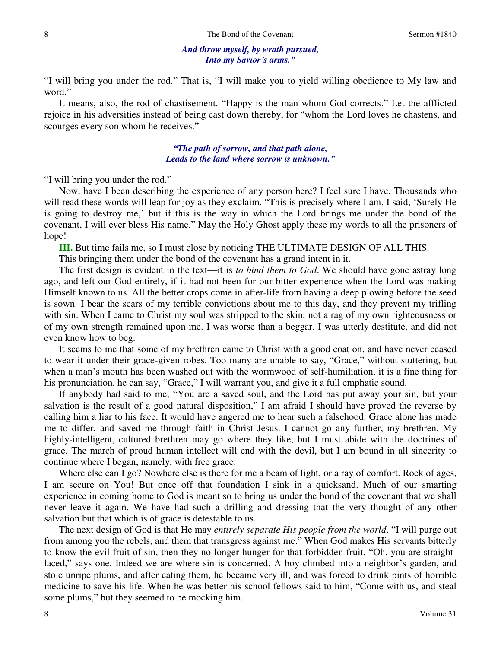## *And throw myself, by wrath pursued, Into my Savior's arms."*

"I will bring you under the rod." That is, "I will make you to yield willing obedience to My law and word."

 It means, also, the rod of chastisement. "Happy is the man whom God corrects." Let the afflicted rejoice in his adversities instead of being cast down thereby, for "whom the Lord loves he chastens, and scourges every son whom he receives."

> *"The path of sorrow, and that path alone, Leads to the land where sorrow is unknown."*

"I will bring you under the rod."

 Now, have I been describing the experience of any person here? I feel sure I have. Thousands who will read these words will leap for joy as they exclaim, "This is precisely where I am. I said, 'Surely He is going to destroy me,' but if this is the way in which the Lord brings me under the bond of the covenant, I will ever bless His name." May the Holy Ghost apply these my words to all the prisoners of hope!

**III.** But time fails me, so I must close by noticing THE ULTIMATE DESIGN OF ALL THIS.

This bringing them under the bond of the covenant has a grand intent in it.

 The first design is evident in the text—it is *to bind them to God*. We should have gone astray long ago, and left our God entirely, if it had not been for our bitter experience when the Lord was making Himself known to us. All the better crops come in after-life from having a deep plowing before the seed is sown. I bear the scars of my terrible convictions about me to this day, and they prevent my trifling with sin. When I came to Christ my soul was stripped to the skin, not a rag of my own righteousness or of my own strength remained upon me. I was worse than a beggar. I was utterly destitute, and did not even know how to beg.

 It seems to me that some of my brethren came to Christ with a good coat on, and have never ceased to wear it under their grace-given robes. Too many are unable to say, "Grace," without stuttering, but when a man's mouth has been washed out with the wormwood of self-humiliation, it is a fine thing for his pronunciation, he can say, "Grace," I will warrant you, and give it a full emphatic sound.

 If anybody had said to me, "You are a saved soul, and the Lord has put away your sin, but your salvation is the result of a good natural disposition," I am afraid I should have proved the reverse by calling him a liar to his face. It would have angered me to hear such a falsehood. Grace alone has made me to differ, and saved me through faith in Christ Jesus. I cannot go any further, my brethren. My highly-intelligent, cultured brethren may go where they like, but I must abide with the doctrines of grace. The march of proud human intellect will end with the devil, but I am bound in all sincerity to continue where I began, namely, with free grace.

 Where else can I go? Nowhere else is there for me a beam of light, or a ray of comfort. Rock of ages, I am secure on You! But once off that foundation I sink in a quicksand. Much of our smarting experience in coming home to God is meant so to bring us under the bond of the covenant that we shall never leave it again. We have had such a drilling and dressing that the very thought of any other salvation but that which is of grace is detestable to us.

 The next design of God is that He may *entirely separate His people from the world*. "I will purge out from among you the rebels, and them that transgress against me." When God makes His servants bitterly to know the evil fruit of sin, then they no longer hunger for that forbidden fruit. "Oh, you are straightlaced," says one. Indeed we are where sin is concerned. A boy climbed into a neighbor's garden, and stole unripe plums, and after eating them, he became very ill, and was forced to drink pints of horrible medicine to save his life. When he was better his school fellows said to him, "Come with us, and steal some plums," but they seemed to be mocking him.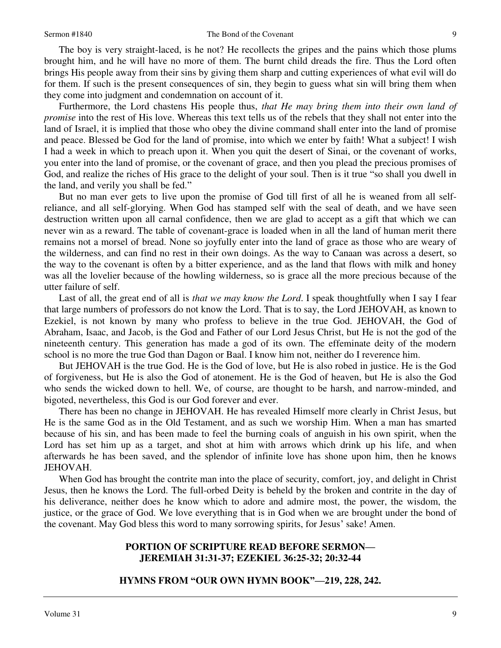### Sermon #1840 **Sermon #1840** The Bond of the Covenant 9

 The boy is very straight-laced, is he not? He recollects the gripes and the pains which those plums brought him, and he will have no more of them. The burnt child dreads the fire. Thus the Lord often brings His people away from their sins by giving them sharp and cutting experiences of what evil will do for them. If such is the present consequences of sin, they begin to guess what sin will bring them when they come into judgment and condemnation on account of it.

 Furthermore, the Lord chastens His people thus, *that He may bring them into their own land of promise* into the rest of His love. Whereas this text tells us of the rebels that they shall not enter into the land of Israel, it is implied that those who obey the divine command shall enter into the land of promise and peace. Blessed be God for the land of promise, into which we enter by faith! What a subject! I wish I had a week in which to preach upon it. When you quit the desert of Sinai, or the covenant of works, you enter into the land of promise, or the covenant of grace, and then you plead the precious promises of God, and realize the riches of His grace to the delight of your soul. Then is it true "so shall you dwell in the land, and verily you shall be fed."

 But no man ever gets to live upon the promise of God till first of all he is weaned from all selfreliance, and all self-glorying. When God has stamped self with the seal of death, and we have seen destruction written upon all carnal confidence, then we are glad to accept as a gift that which we can never win as a reward. The table of covenant-grace is loaded when in all the land of human merit there remains not a morsel of bread. None so joyfully enter into the land of grace as those who are weary of the wilderness, and can find no rest in their own doings. As the way to Canaan was across a desert, so the way to the covenant is often by a bitter experience, and as the land that flows with milk and honey was all the lovelier because of the howling wilderness, so is grace all the more precious because of the utter failure of self.

 Last of all, the great end of all is *that we may know the Lord*. I speak thoughtfully when I say I fear that large numbers of professors do not know the Lord. That is to say, the Lord JEHOVAH, as known to Ezekiel, is not known by many who profess to believe in the true God. JEHOVAH, the God of Abraham, Isaac, and Jacob, is the God and Father of our Lord Jesus Christ, but He is not the god of the nineteenth century. This generation has made a god of its own. The effeminate deity of the modern school is no more the true God than Dagon or Baal. I know him not, neither do I reverence him.

 But JEHOVAH is the true God. He is the God of love, but He is also robed in justice. He is the God of forgiveness, but He is also the God of atonement. He is the God of heaven, but He is also the God who sends the wicked down to hell. We, of course, are thought to be harsh, and narrow-minded, and bigoted, nevertheless, this God is our God forever and ever.

 There has been no change in JEHOVAH. He has revealed Himself more clearly in Christ Jesus, but He is the same God as in the Old Testament, and as such we worship Him. When a man has smarted because of his sin, and has been made to feel the burning coals of anguish in his own spirit, when the Lord has set him up as a target, and shot at him with arrows which drink up his life, and when afterwards he has been saved, and the splendor of infinite love has shone upon him, then he knows JEHOVAH.

 When God has brought the contrite man into the place of security, comfort, joy, and delight in Christ Jesus, then he knows the Lord. The full-orbed Deity is beheld by the broken and contrite in the day of his deliverance, neither does he know which to adore and admire most, the power, the wisdom, the justice, or the grace of God. We love everything that is in God when we are brought under the bond of the covenant. May God bless this word to many sorrowing spirits, for Jesus' sake! Amen.

# **PORTION OF SCRIPTURE READ BEFORE SERMON— JEREMIAH 31:31-37; EZEKIEL 36:25-32; 20:32-44**

## **HYMNS FROM "OUR OWN HYMN BOOK"—219, 228, 242.**